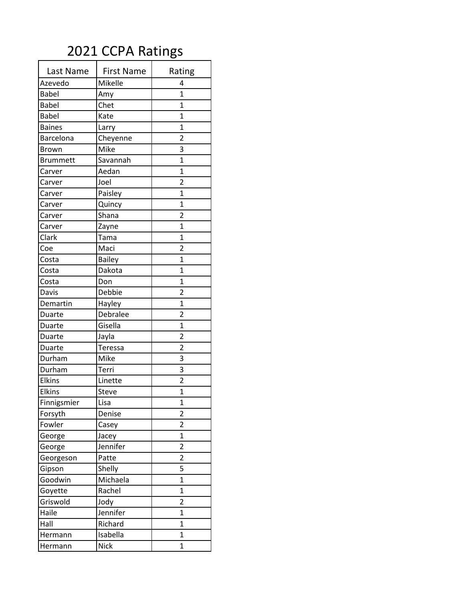## 2021 CCPA Ratings

| Last Name       | <b>First Name</b> | Rating                  |
|-----------------|-------------------|-------------------------|
| Azevedo         | Mikelle           | 4                       |
| <b>Babel</b>    | Amy               | $\overline{1}$          |
| <b>Babel</b>    | Chet              | $\overline{1}$          |
| <b>Babel</b>    | Kate              | $\mathbf{1}$            |
| <b>Baines</b>   | Larry             | $\overline{1}$          |
| Barcelona       | Cheyenne          | $\overline{2}$          |
| Brown           | Mike              | 3                       |
| <b>Brummett</b> | Savannah          | 1                       |
| Carver          | Aedan             | 1                       |
| Carver          | Joel              | $\overline{2}$          |
| Carver          | Paisley           | $\overline{1}$          |
| Carver          | Quincy            | $\overline{1}$          |
| Carver          | Shana             | $\overline{2}$          |
| Carver          | Zayne             | $\overline{1}$          |
| Clark           | Tama              | $\overline{1}$          |
| Coe             | Maci              | $\overline{2}$          |
| Costa           | <b>Bailey</b>     | $\overline{1}$          |
| Costa           | Dakota            | $\overline{1}$          |
| Costa           | Don               | $\mathbf{1}$            |
| Davis           | Debbie            | $\overline{2}$          |
| Demartin        | Hayley            | $\mathbf{1}$            |
| Duarte          | Debralee          | $\overline{2}$          |
| Duarte          | Gisella           | 1                       |
| Duarte          | Jayla             | $\overline{2}$          |
| Duarte          | Teressa           | $\overline{2}$          |
| Durham          | Mike              | 3                       |
| Durham          | Terri             | 3                       |
| <b>Elkins</b>   | Linette           | $\overline{2}$          |
| Elkins          | <b>Steve</b>      | $\overline{1}$          |
| Finnigsmier     | Lisa              | 1                       |
| Forsyth         | Denise            | $\overline{2}$          |
| Fowler          | Casey             | $\overline{2}$          |
| George          | Jacey             | $\overline{1}$          |
| George          | Jennifer          | 2                       |
| Georgeson       | Patte             | $\overline{\mathbf{c}}$ |
| Gipson          | Shelly            | 5                       |
| Goodwin         | Michaela          | $\mathbf 1$             |
| Goyette         | Rachel            | $\overline{1}$          |
| Griswold        | Jody              | $\overline{2}$          |
| Haile           | Jennifer          | $\overline{1}$          |
| Hall            | Richard           | $\overline{1}$          |
| Hermann         | Isabella          | 1                       |
| Hermann         | <b>Nick</b>       | $\mathbf 1$             |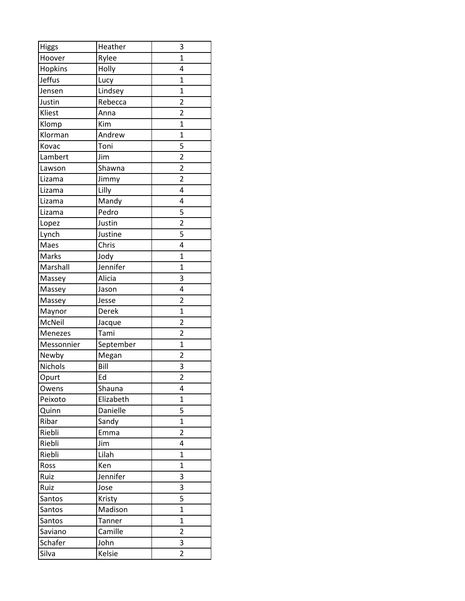| <b>Higgs</b>  | Heather   | 3                       |
|---------------|-----------|-------------------------|
| Hoover        | Rylee     | $\overline{1}$          |
| Hopkins       | Holly     | 4                       |
| <b>Jeffus</b> | Lucy      | $\overline{1}$          |
| Jensen        | Lindsey   | $\overline{1}$          |
| Justin        | Rebecca   | $\overline{2}$          |
| Kliest        | Anna      | $\overline{\mathbf{c}}$ |
| Klomp         | Kim       | $\overline{1}$          |
| Klorman       | Andrew    | $\overline{1}$          |
| Kovac         | Toni      | 5                       |
| Lambert       | Jim       | $\overline{2}$          |
| Lawson        | Shawna    | $\overline{2}$          |
| Lizama        | Jimmy     | $\overline{2}$          |
| Lizama        | Lilly     | 4                       |
| Lizama        | Mandy     | 4                       |
| Lizama        | Pedro     | 5                       |
| Lopez         | Justin    | $\overline{\mathbf{c}}$ |
| Lynch         | Justine   | 5                       |
| Maes          | Chris     | 4                       |
| Marks         | Jody      | 1                       |
| Marshall      | Jennifer  | $\overline{1}$          |
| Massey        | Alicia    | 3                       |
| Massey        | Jason     | 4                       |
| Massey        | Jesse     | $\overline{2}$          |
| Maynor        | Derek     | $\overline{1}$          |
| McNeil        | Jacque    | $\overline{2}$          |
| Menezes       | Tami      | $\overline{2}$          |
| Messonnier    | September | $\overline{1}$          |
| Newby         | Megan     | $\overline{2}$          |
| Nichols       | Bill      | 3                       |
| Opurt         | Ed        | $\overline{2}$          |
| Owens         | Shauna    | 4                       |
| Peixoto       | Elizabeth | $\overline{1}$          |
| Quinn         | Danielle  | 5                       |
| Ribar         | Sandy     | $\overline{1}$          |
| Riebli        | Emma      | 2                       |
| Riebli        | Jim       | 4                       |
| Riebli        | Lilah     | $\mathbf{1}$            |
| Ross          | Ken       | $\mathbf{1}$            |
| Ruiz          | Jennifer  | 3                       |
| Ruiz          | Jose      | 3                       |
| Santos        | Kristy    | 5                       |
| Santos        | Madison   | $\overline{1}$          |
| Santos        | Tanner    | $\overline{1}$          |
| Saviano       | Camille   | $\overline{\mathbf{c}}$ |
| Schafer       | John      | 3                       |
| Silva         | Kelsie    | 2                       |